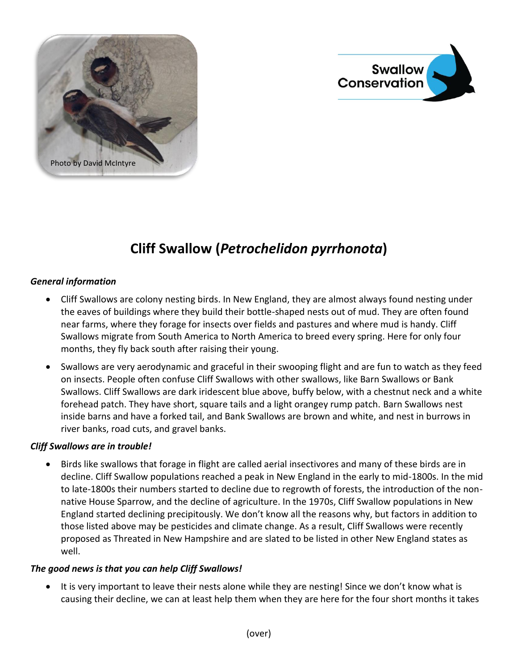



## **Cliff Swallow (***Petrochelidon pyrrhonota***)**

## *General information*

- Cliff Swallows are colony nesting birds. In New England, they are almost always found nesting under the eaves of buildings where they build their bottle-shaped nests out of mud. They are often found near farms, where they forage for insects over fields and pastures and where mud is handy. Cliff Swallows migrate from South America to North America to breed every spring. Here for only four months, they fly back south after raising their young.
- Swallows are very aerodynamic and graceful in their swooping flight and are fun to watch as they feed on insects. People often confuse Cliff Swallows with other swallows, like Barn Swallows or Bank Swallows. Cliff Swallows are dark iridescent blue above, buffy below, with a chestnut neck and a white forehead patch. They have short, square tails and a light orangey rump patch. Barn Swallows nest inside barns and have a forked tail, and Bank Swallows are brown and white, and nest in burrows in river banks, road cuts, and gravel banks.

## *Cliff Swallows are in trouble!*

 Birds like swallows that forage in flight are called aerial insectivores and many of these birds are in decline. Cliff Swallow populations reached a peak in New England in the early to mid-1800s. In the mid to late-1800s their numbers started to decline due to regrowth of forests, the introduction of the nonnative House Sparrow, and the decline of agriculture. In the 1970s, Cliff Swallow populations in New England started declining precipitously. We don't know all the reasons why, but factors in addition to those listed above may be pesticides and climate change. As a result, Cliff Swallows were recently proposed as Threated in New Hampshire and are slated to be listed in other New England states as well.

## *The good news is that you can help Cliff Swallows!*

• It is very important to leave their nests alone while they are nesting! Since we don't know what is causing their decline, we can at least help them when they are here for the four short months it takes